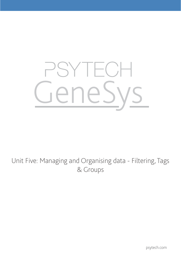# GeneSys

# Unit Five: Managing and Organising data - Filtering, Tags & Groups

psytech.com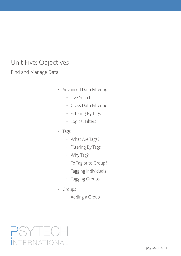# Unit Five: Objectives

Find and Manage Data

- • Advanced Data Filtering
	- • Live Search
	- • Cross Data Filtering
	- • Filtering By Tags
	- • Logical Filters
- • Tags
	- What Are Tags?
	- • Filtering By Tags
	- Why Tag?
	- To Tag or to Group?
	- Tagging Individuals
	- Tagging Groups
- • Groups
	- Adding a Group

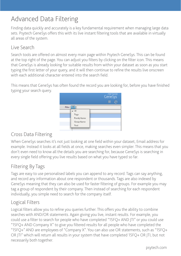# Advanced Data Filtering

Finding data quickly and accurately is a key fundamental requirement when managing large data sets. Psytech GeneSys offers this with its live instant filtering tools that are available in virtually all areas of the system.

## Live Search

Search tools are offered on almost every main page within Psytech GeneSys. This can be found at the top right of the page. You can adjust you filters by clicking on the filter icon. This means that GeneSys is already looking for suitable results from within your dataset as soon as you start typing the first letter of your query, and it will then continue to refine the results live onscreen with each additional character entered into the search field.

This means that GeneSys has often found the record you are looking for, before you have finished typing your search query.



# Cross Data Filtering

When GeneSys searches it's not just looking at one field within your dataset, Email address for example. Instead it looks at all fields at once, making searches even simpler. This means that you don't even need to know all the details you are searching for, because GeneSys is searching in every single field offering you live results based on what you have typed so far.

# Filtering By Tags

Tags are easy to use personalised labels you can append to any record. Tags can say anything, and record any information about one respondent or thousands. Tags are also indexed by GeneSys meaning that they can also be used for faster filtering of groups. For example you may tag a group of respondent by their company. Then instead of searching for each respondent individually, you simple need to search for the company itself.

# Logical Filters

Logical filters allow you to refine you queries further. This offers you the ability to combine searches with AND/OR statements. Again giving you live, instant results. For example, you could use a filter to search for people who have completed "15FQ+ AND JTI" or you could use "15FQ+ AND Company X" to give you filtered results for all people who have completed the "15FQ+" AND are employees of "Company X". You can also use OR statements, such as "15FQ+ OR JTI" which will return all results in your system that have completed 15FQ+ OR JTI, but not necessarily both together.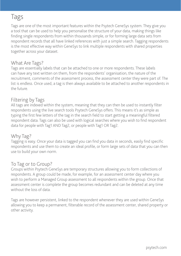# Tags

Tags are one of the most important features within the Psytech GeneSys system. They give you a tool that can be used to help you personalise the structure of your data, making things like finding single respondents from within thousands simple, or for forming large data sets from respondent records that all have linked references with just a simple search. Tagging respondents is the most effective way within GeneSys to link multiple respondents with shared properties together across your dataset.

#### What Are Tags?

Tags are essentially labels that can be attached to one or more respondents. These labels can have any text written on them, from the respondents' organisation, the nature of the recruitment, comments of the assessment process, the assessment center they were part of. The list is endless. Once used, a tag is then always available to be attached to another respondents in the future.

## Filtering by Tags

All tags are indexed within the system, meaning that they can then be used to instantly filter respondents using the live search tools Psytech GeneSys offers. This means it's as simple as typing the first few letters of the tag in the search field to start getting a meaningful filtered respondent data. Tags can also be used with logical searches where you wish to find respondent data for people with Tag1 AND Tag2, or people with Tag1 OR Tag2.

#### Why Tag?

Tagging is easy. Once your data is tagged you can find you data in seconds, easily find specific respondents and use them to create an ideal profile, or form large sets of data that you can then use to build your own norm.

## To Tag or to Group?

Groups within Psytech GeneSys are temporary structures allowing you to form collections of respondents. A group could be made, for example, for an assessment center day where you wish to perform a Managed Group assessment to all respondents within the group. Once that assessment center is complete the group becomes redundant and can be deleted at any time without the loss of data

Tags are however persistent, linked to the respondent whenever they are used within GeneSys allowing you to keep a permanent, filterable record of the assessment center, shared property or other activity.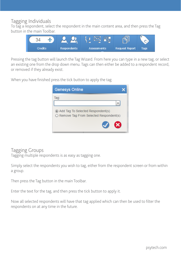#### Tagging Individuals

To tag a respondent, select the respondent in the main content area, and then press the Tag button in the main Toolbar.



Pressing the tag button will launch the Tag Wizard. From here you can type in a new tag, or select an existing one from the drop down menu. Tags can then either be added to a respondent record, or removed if they already exist.

When you have finished press the tick button to apply the tag.

| <b>Genesys Online</b>                                                                  |  |
|----------------------------------------------------------------------------------------|--|
| Tag:                                                                                   |  |
| Add Tag To Selected Respondent(s)<br>$\bigcirc$ Remove Tag From Selected Respondent(s) |  |
|                                                                                        |  |

#### Tagging Groups

Tagging multiple respondents is as easy as tagging one.

Simply select the respondents you wish to tag, either from the respondent screen or from within a group.

Then press the Tag button in the main Toolbar.

Enter the text for the tag, and then press the tick button to apply it.

Now all selected respondents will have that tag applied which can then be used to filter the respondents on at any time in the future.